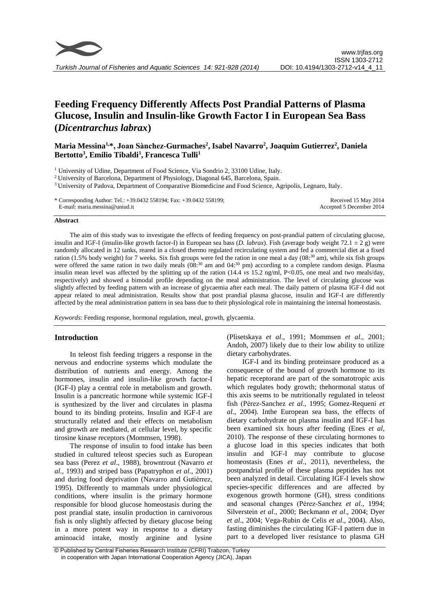

# **Feeding Frequency Differently Affects Post Prandial Patterns of Plasma Glucose, Insulin and Insulin-like Growth Factor I in European Sea Bass (***Dicentrarchus labrax***)**

# **Maria Messina1,\*, Joan Sànchez-Gurmaches<sup>2</sup> , Isabel Navarro<sup>2</sup> , Joaquim Gutierrez<sup>2</sup> , Daniela Bertotto<sup>3</sup> , Emilio Tibaldi<sup>1</sup> , Francesca Tulli<sup>1</sup>**

<sup>3</sup> University of Padova, Department of Comparative Biomedicine and Food Science, Agripolis, Legnaro, Italy.

#### **Abstract**

The aim of this study was to investigate the effects of feeding frequency on post-prandial pattern of circulating glucose, insulin and IGF-I (insulin-like growth factor-I) in European sea bass (*D. labrax*). Fish (average body weight 72.1 ± 2 g) were randomly allocated in 12 tanks, reared in a closed thermo regulated recirculating system and fed a commercial diet at a fixed ration (1.5% body weight) for 7 weeks. Six fish groups were fed the ration in one meal a day (08:<sup>30</sup> am), while six fish groups were offered the same ration in two daily meals  $(08<sup>30</sup>$  am and  $04<sup>30</sup>$  pm) according to a complete random design. Plasma insulin mean level was affected by the splitting up of the ration (14.4 *vs* 15.2 ng/ml, P<0.05, one meal and two meals/day, respectively) and showed a bimodal profile depending on the meal administration. The level of circulating glucose was slightly affected by feeding pattern with an increase of glycaemia after each meal. The daily pattern of plasma IGF-I did not appear related to meal administration. Results show that post prandial plasma glucose, insulin and IGF-I are differently affected by the meal administration pattern in sea bass due to their physiological role in maintaining the internal homeostasis.

*Keywords*: Feeding response, hormonal regulation, meal, growth, glycaemia.

# **Introduction**

In teleost fish feeding triggers a response in the nervous and endocrine systems which modulate the distribution of nutrients and energy. Among the hormones, insulin and insulin-like growth factor-I (IGF-I) play a central role in metabolism and growth. Insulin is a pancreatic hormone while systemic IGF-I is synthesized by the liver and circulates in plasma bound to its binding proteins. Insulin and IGF-I are structurally related and their effects on metabolism and growth are mediated, at cellular level, by specific tirosine kinase receptors (Mommsen, 1998).

The response of insulin to food intake has been studied in cultured teleost species such as European sea bass (Perez *et al*., 1988), browntrout (Navarro *et al*., 1993) and striped bass (Papatryphon *et al*., 2001) and during food deprivation (Navarro and Gutiérrez, 1995). Differently to mammals under physiological conditions, where insulin is the primary hormone responsible for blood glucose homeostasis during the post prandial state, insulin production in carnivorous fish is only slightly affected by dietary glucose being in a more potent way in response to a dietary aminoacid intake, mostly arginine and lysine (Plisetskaya *et al*., 1991; Mommsen *et al*., 2001; Andoh, 2007) likely due to their low ability to utilize dietary carbohydrates.

IGF-I and its binding proteinsare produced as a consequence of the bound of growth hormone to its hepatic receptorand are part of the somatotropic axis which regulates body growth; thehormonal status of this axis seems to be nutritionally regulated in teleost fish (Pérez-Sanchez *et al*., 1995; Gomez-Requeni *et al*., 2004). Inthe European sea bass, the effects of dietary carbohydrate on plasma insulin and IGF-I has been examined six hours after feeding (Enes *et al*, 2010). The response of these circulating hormones to a glucose load in this species indicates that both insulin and IGF-I may contribute to glucose homeostasis (Enes *et al*., 2011), nevertheless, the postpandrial profile of these plasma peptides has not been analyzed in detail. Circulating IGF-I levels show species-specific differences and are affected by exogenous growth hormone (GH), stress conditions and seasonal changes (Pérez-Sanchez *et al*., 1994; Silverstein *et al*., 2000; Beckmann *et al*., 2004; Dyer *et al*., 2004; Vega-Rubin de Celis *et al*., 2004). Also, fasting diminishes the circulating IGF-I pattern due in part to a developed liver resistance to plasma GH

<sup>&</sup>lt;sup>1</sup> University of Udine, Department of Food Science, Via Sondrio 2, 33100 Udine, Italy.

<sup>2</sup> University of Barcelona, Department of Physiology, Diagonal 645, Barcelona, Spain.

<sup>\*</sup> Corresponding Author: Tel.: +39.0432 558194; Fax: +39.0432 558199; E-mail: maria.messina@uniud.it Received 15 May 2014 Accepted 5 December 2014

<sup>©</sup> Published by Central Fisheries Research Institute (CFRI) Trabzon, Turkey in cooperation with Japan International Cooperation Agency (JICA), Japan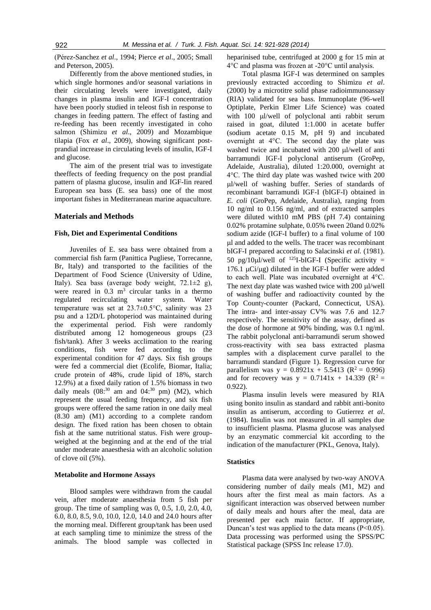(Pérez-Sanchez *et al*., 1994; Pierce *et al*., 2005; Small and Peterson, 2005).

Differently from the above mentioned studies, in which single hormones and/or seasonal variations in their circulating levels were investigated, daily changes in plasma insulin and IGF-I concentration have been poorly studied in teleost fish in response to changes in feeding pattern. The effect of fasting and re-feeding has been recently investigated in coho salmon (Shimizu *et al*., 2009) and Mozambique tilapia (Fox *et al*., 2009), showing significant postprandial increase in circulating levels of insulin, IGF-I and glucose.

The aim of the present trial was to investigate theeffects of feeding frequency on the post prandial pattern of plasma glucose, insulin and IGF-Iin reared European sea bass (E. sea bass) one of the most important fishes in Mediterranean marine aquaculture.

# **Materials and Methods**

#### **Fish, Diet and Experimental Conditions**

Juveniles of E. sea bass were obtained from a commercial fish farm (Panittica Pugliese, Torrecanne, Br. Italy) and transported to the facilities of the Department of Food Science (University of Udine, Italy). Sea bass (average body weight, 72.1±2 g), were reared in  $0.3 \text{ m}^3$  circular tanks in a thermo regulated recirculating water system. Water temperature was set at 23.7±0.5°C, salinity was 23 psu and a 12D/L photoperiod was maintained during the experimental period. Fish were randomly distributed among 12 homogeneous groups (23 fish/tank). After 3 weeks acclimation to the rearing conditions, fish were fed according to the experimental condition for 47 days. Six fish groups were fed a commercial diet (Ecolife, Biomar, Italia; crude protein of 48%, crude lipid of 18%, starch 12.9%) at a fixed daily ration of 1.5% biomass in two daily meals  $(08<sup>30</sup>$  am and  $04<sup>30</sup>$  pm) (M2), which represent the usual feeding frequency, and six fish groups were offered the same ration in one daily meal (8.30 am) (M1) according to a complete random design. The fixed ration has been chosen to obtain fish at the same nutritional status. Fish were groupweighed at the beginning and at the end of the trial under moderate anaesthesia with an alcoholic solution of clove oil (5%).

#### **Metabolite and Hormone Assays**

Blood samples were withdrawn from the caudal vein, after moderate anaesthesia from 5 fish per group. The time of sampling was 0, 0.5, 1.0, 2.0, 4.0, 6.0, 8.0, 8.5, 9.0, 10.0, 12.0, 14.0 and 24.0 hours after the morning meal. Different group/tank has been used at each sampling time to minimize the stress of the animals. The blood sample was collected in heparinised tube, centrifuged at 2000 g for 15 min at 4°C and plasma was frozen at -20°C until analysis.

Total plasma IGF-I was determined on samples previously extracted according to Shimizu *et al*. (2000) by a microtitre solid phase radioimmunoassay (RIA) validated for sea bass. Immunoplate (96-well Optiplate, Perkin Elmer Life Science) was coated with 100 ul/well of polyclonal anti rabbit serum raised in goat, diluted 1:1.000 in acetate buffer (sodium acetate 0.15 M, pH 9) and incubated overnight at 4°C. The second day the plate was washed twice and incubated with 200 µl/well of anti barramundi IGF-I polyclonal antiserum (GroPep, Adelaide, Australia), diluted 1:20.000, overnight at 4°C. The third day plate was washed twice with 200 l/well of washing buffer. Series of standards of recombinant barramundi IGF-I (bIGF-I) obtained in *E. coli* (GroPep, Adelaide, Australia), ranging from 10 ng/ml to 0.156 ng/ml, and of extracted samples were diluted with10 mM PBS (pH 7.4) containing 0.02% protamine sulphate, 0.05% tween 20and 0.02% sodium azide (IGF-I buffer) to a final volume of 100 l and added to the wells. The tracer was recombinant bIGF-I prepared according to Salacinski *et al.* (1981). 50 pg/10 $\mu$ l/well of <sup>125</sup>I-bIGF-I (Specific activity =  $176.1 \text{ uCi/µg}$  diluted in the IGF-I buffer were added to each well. Plate was incubated overnight at 4°C. The next day plate was washed twice with  $200 \mu$ l/well of washing buffer and radioactivity counted by the Top County-counter (Packard, Connecticut, USA). The intra- and inter-assay CV% was 7.6 and 12.7 respectively. The sensitivity of the assay, defined as the dose of hormone at 90% binding, was 0.1 ng/ml. The rabbit polyclonal anti-barramundi serum showed cross-reactivity with sea bass extracted plasma samples with a displacement curve parallel to the barramundi standard (Figure 1). Regression curve for parallelism was  $y = 0.8921x + 5.5413$  ( $R^2 = 0.996$ ) and for recovery was  $y = 0.7141x + 14.339$  ( $R^2 =$ 0.922).

Plasma insulin levels were measured by RIA using bonito insulin as standard and rabbit anti-bonito insulin as antiserum, according to Gutierrez *et al*. (1984). Insulin was not measured in all samples due to insufficient plasma. Plasma glucose was analysed by an enzymatic commercial kit according to the indication of the manufacturer (PKL, Genova, Italy).

#### **Statistics**

Plasma data were analysed by two-way ANOVA considering number of daily meals (M1, M2) and hours after the first meal as main factors. As a significant interaction was observed between number of daily meals and hours after the meal, data are presented per each main factor. If appropriate, Duncan's test was applied to the data means (P<0.05). Data processing was performed using the SPSS/PC Statistical package (SPSS Inc release 17.0).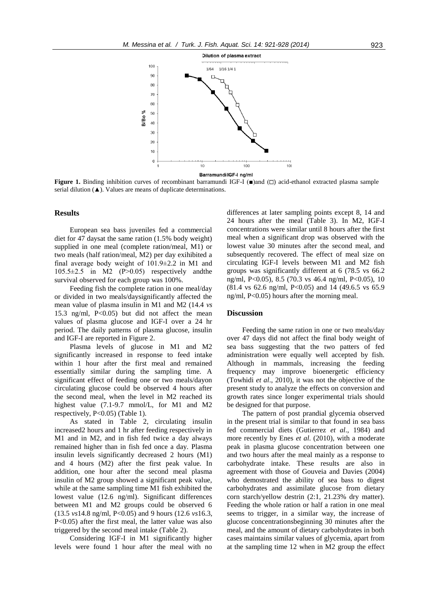

**Figure 1.** Binding inhibition curves of recombinant barramundi IGF-I ( $\blacksquare$ ) and  $\Box$ ) acid-ethanol extracted plasma sample serial dilution  $($  $\blacktriangle)$ . Values are means of duplicate determinations.

#### **Results**

European sea bass juveniles fed a commercial diet for 47 daysat the same ration (1.5% body weight) supplied in one meal (complete ration/meal, M1) or two meals (half ration/meal, M2) per day exihibited a final average body weight of 101.9±2.2 in M1 and 105.5±2.5 in M2 (P>0.05) respectively andthe survival observed for each group was 100%.

Feeding fish the complete ration in one meal/day or divided in two meals/daysignificantly affected the mean value of plasma insulin in M1 and M2 (14.4 *vs* 15.3 ng/ml, P<0.05) but did not affect the mean values of plasma glucose and IGF-I over a 24 hr period. The daily patterns of plasma glucose, insulin and IGF-I are reported in Figure 2.

Plasma levels of glucose in M1 and M2 significantly increased in response to feed intake within 1 hour after the first meal and remained essentially similar during the sampling time. A significant effect of feeding one or two meals/dayon circulating glucose could be observed 4 hours after the second meal, when the level in M2 reached its highest value (7.1*-*9.7 mmol/L, for M1 and M2 respectively, P<0.05) (Table 1).

As stated in Table 2, circulating insulin increased2 hours and 1 hr after feeding respectively in M1 and in M2, and in fish fed twice a day always remained higher than in fish fed once a day. Plasma insulin levels significantly decreased 2 hours (M1) and 4 hours (M2) after the first peak value. In addition, one hour after the second meal plasma insulin of M2 group showed a significant peak value, while at the same sampling time M1 fish exhibited the lowest value (12.6 ng/ml). Significant differences between M1 and M2 groups could be observed 6 (13.5 *vs*14.8 ng/ml, P<0.05) and 9 hours (12.6 *vs*16.3, P<0.05) after the first meal, the latter value was also triggered by the second meal intake (Table 2).

Considering IGF-I in M1 significantly higher levels were found 1 hour after the meal with no

differences at later sampling points except 8, 14 and 24 hours after the meal (Table 3). In M2, IGF-I concentrations were similar until 8 hours after the first meal when a significant drop was observed with the lowest value 30 minutes after the second meal, and subsequently recovered. The effect of meal size on circulating IGF-I levels between M1 and M2 fish groups was significantly different at 6 (78.5 vs 66.2 ng/ml, P<0.05), 8.5 (70.3 vs 46.4 ng/ml, P<0.05), 10 (81.4 vs 62.6 ng/ml, P<0.05) and 14 (49.6.5 vs 65.9 ng/ml, P<0.05) hours after the morning meal.

# **Discussion**

Feeding the same ration in one or two meals/day over 47 days did not affect the final body weight of sea bass suggesting that the two patters of fed administration were equally well accepted by fish. Although in mammals, increasing the feeding frequency may improve bioenergetic efficiency (Towhidi *et al*., 2010), it was not the objective of the present study to analyze the effects on conversion and growth rates since longer experimental trials should be designed for that purpose.

The pattern of post prandial glycemia observed in the present trial is similar to that found in sea bass fed commercial diets (Gutierrez *et al*., 1984) and more recently by Enes *et al*. (2010), with a moderate peak in plasma glucose concentration between one and two hours after the meal mainly as a response to carbohydrate intake. These results are also in agreement with those of Gouveia and Davies (2004) who demostrated the ability of sea bass to digest carbohydrates and assimilate glucose from dietary corn starch/yellow destrin (2:1, 21.23% dry matter). Feeding the whole ration or half a ration in one meal seems to trigger, in a similar way, the increase of glucose concentrationsbeginning 30 minutes after the meal, and the amount of dietary carbohydrates in both cases maintains similar values of glycemia, apart from at the sampling time 12 when in M2 group the effect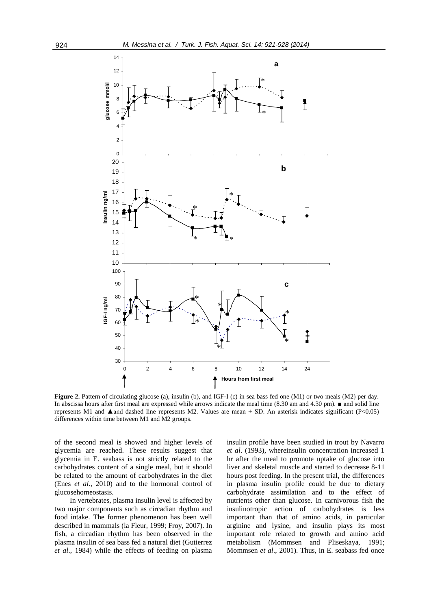

**Figure 2.** Pattern of circulating glucose (a), insulin (b), and IGF-I (c) in sea bass fed one (M1) or two meals (M2) per day. In abscissa hours after first meal are expressed while arrows indicate the meal time (8.30 am and 4.30 pm). ■ and solid line represents M1 and  $\triangle$  and dashed line represents M2. Values are mean  $\pm$  SD. An asterisk indicates significant (P<0.05) differences within time between M1 and M2 groups.

of the second meal is showed and higher levels of glycemia are reached. These results suggest that glycemia in E. seabass is not strictly related to the carbohydrates content of a single meal, but it should be related to the amount of carbohydrates in the diet (Enes *et al*., 2010) and to the hormonal control of glucosehomeostasis.

In vertebrates, plasma insulin level is affected by two major components such as circadian rhythm and food intake. The former phenomenon has been well described in mammals (la Fleur, 1999; Froy, 2007). In fish, a circadian rhythm has been observed in the plasma insulin of sea bass fed a natural diet (Gutierrez *et al*., 1984) while the effects of feeding on plasma insulin profile have been studied in trout by Navarro *et al*. (1993), whereinsulin concentration increased 1 hr after the meal to promote uptake of glucose into liver and skeletal muscle and started to decrease 8-11 hours post feeding. In the present trial, the differences in plasma insulin profile could be due to dietary carbohydrate assimilation and to the effect of nutrients other than glucose. In carnivorous fish the insulinotropic action of carbohydrates is less important than that of amino acids, in particular arginine and lysine, and insulin plays its most important role related to growth and amino acid metabolism (Mommsen and Pliseskaya, 1991; Mommsen *et al*., 2001). Thus, in E. seabass fed once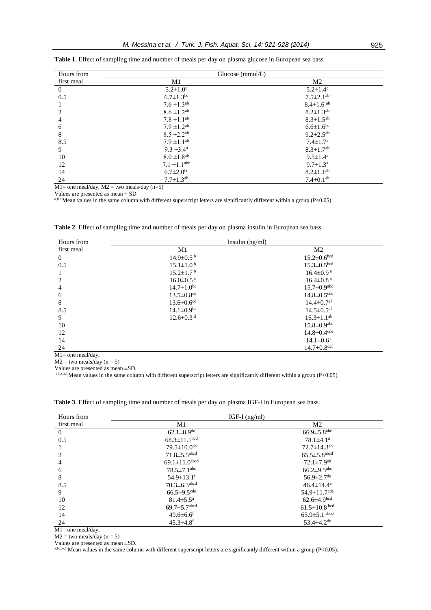| Hours from     | Glucose $(mmol/L)$           |                             |  |
|----------------|------------------------------|-----------------------------|--|
| first meal     | M1                           | M <sub>2</sub>              |  |
| $\overline{0}$ | $5.2 \pm 1.0^c$              | $5.2 \pm 1.4$ <sup>c</sup>  |  |
| 0.5            | $6.7 \pm 1.3$ <sup>bc</sup>  | $7.5 \pm 2.1$ <sup>ab</sup> |  |
|                | $7.6 \pm 1.3^{ab}$           | $8.4 \pm 1.6$ <sup>ab</sup> |  |
| 2              | $8.6 \pm 1.2$ <sup>ab</sup>  | $8.2 \pm 1.3^{ab}$          |  |
| 4              | $7.8 \pm 1.1^{ab}$           | $8.3 \pm 1.5^{ab}$          |  |
| 6              | $7.9 \pm 1.2^{ab}$           | $6.6 \pm 1.6$ <sup>bc</sup> |  |
| 8              | $8.5 \pm 2.2$ <sup>ab</sup>  | $9.2 \pm 2.5^{ab}$          |  |
| 8.5            | $7.9 \pm 1.1^{ab}$           | $7.4 \pm 1.7^{\rm a}$       |  |
| 9              | $9.3 \pm 3.4^{\text{a}}$     | $8.3 \pm 1.7$ <sup>ab</sup> |  |
| 10             | $8.0 \pm 1.8$ <sup>ab</sup>  | $9.5 \pm 1.4^{\text{a}}$    |  |
| 12             | $7.1 \pm 1.1$ <sup>abc</sup> | $9.7 \pm 1.3^{\text{a}}$    |  |
| 14             | $6.7 \pm 2.0$ <sup>bc</sup>  | $8.2 \pm 1.1^{ab}$          |  |
| 24             | $7.7 \pm 1.3^{ab}$           | $7.4 \pm 0.1^{ab}$          |  |

 $M1=$  one meal/day,  $M2 =$  two meals/day (n=5)

Values are presented as mean  $\pm$  SD

a,b,cMean values in the same column with different superscript letters are significantly different within a group ( $P<0.05$ ).

| Hours from     | Insulin $(ng/ml)$            |                               |  |
|----------------|------------------------------|-------------------------------|--|
| first meal     | M <sub>1</sub>               | M <sub>2</sub>                |  |
| $\overline{0}$ | $14.9 \pm 0.5^{\mathrm{b}}$  | $15.2 \pm 0.6^{bcd}$          |  |
| 0.5            | $15.1 \pm 1.0^{\mathrm{b}}$  | $15.3 \pm 0.5$ <sup>bcd</sup> |  |
|                | $15.2 \pm 1.7$ <sup>b</sup>  | $16.4 \pm 0.9$ <sup>a</sup>   |  |
| 2              | $16.0 \pm 0.5$ <sup>a</sup>  | $16.4 \pm 0.8$ <sup>a</sup>   |  |
| 4              | $14.7 \pm 1.0^{bc}$          | $15.7 \pm 0.9$ <sup>abc</sup> |  |
| 6              | $13.5 \pm 0.8$ <sup>cd</sup> | $14.8 \pm 0.5$ <sup>cde</sup> |  |
| 8              | $13.6 \pm 0.6$ <sup>cd</sup> | $14.4 \pm 0.7$ <sup>ef</sup>  |  |
| 8.5            | $14.1 \pm 0.9$ <sup>bc</sup> | $14.5 \pm 0.5$ <sup>ef</sup>  |  |
| 9              | $12.6 \pm 0.3$ <sup>d</sup>  | $16.3 \pm 1.1^{ab}$           |  |
| 10             |                              | $15.8 \pm 0.9$ <sup>abc</sup> |  |
| 12             |                              | $14.8 \pm 0.4$ <sup>cde</sup> |  |
| 14             |                              | $14.1 \pm 0.6$ <sup>f</sup>   |  |
| 24             |                              | $14.7 \pm 0.8$ <sup>def</sup> |  |

**Table 2**. Effect of sampling time and number of meals per day on plasma insulin in European sea bass

M1= one meal/day,

 $M2 =$  two meals/day (n = 5)

Values are presented as mean ±SD.

a,b,c,e,f Mean values in the same column with different superscript letters are significantly different within a group ( $P < 0.05$ ).

**Table 3**. Effect of sampling time and number of meals per day on plasma IGF-I in European sea bass.

| Hours from     | IGF-I $(ng/ml)$                |                                |  |
|----------------|--------------------------------|--------------------------------|--|
| first meal     | M1                             | M <sub>2</sub>                 |  |
| $\overline{0}$ | 62.1 $\pm$ 8.9 <sup>de</sup>   | $66.9 \pm 5.8$ <sup>abc</sup>  |  |
| 0.5            | $68.3 \pm 11.1$ <sup>bcd</sup> | $78.1 \pm 4.1$ <sup>a</sup>    |  |
|                | $79.5 \pm 10.0$ <sup>ab</sup>  | $72.7 \pm 14.3$ <sup>ab</sup>  |  |
| 2              | $71.8 \pm 5.5$ <sup>abcd</sup> | $65.5 \pm 5.8$ <sup>abcd</sup> |  |
| 4              | $69.1 \pm 11.0$ abcd           | $72.1 \pm 7.9$ <sup>ab</sup>   |  |
| 6              | $78.5 \pm 7.1$ <sup>abc</sup>  | $66.2 \pm 9.5$ <sup>abc</sup>  |  |
| 8              | $54.9 \pm 13.1$ <sup>f</sup>   | $56.9 \pm 2.7$ <sup>de</sup>   |  |
| 8.5            | $70.3 \pm 6.3$ <sup>abcd</sup> | $46.4 \pm 14.4$ <sup>e</sup>   |  |
| 9              | $66.5 \pm 9.5$ <sup>cde</sup>  | $54.9 \pm 11.7$ <sup>cde</sup> |  |
| 10             | $81.4 \pm 5.5^{\rm a}$         | $62.6 \pm 4.9$ bcd             |  |
| 12             | $69.7 \pm 5.7$ <sup>abcd</sup> | $61.5 \pm 10.8$ bcd            |  |
| 14             | $49.6 \pm 6.6$ <sup>f</sup>    | $65.9 \pm 5.1$ abcd            |  |
| 24             | $45.3 \pm 4.8$ <sup>f</sup>    | 53.4 $\pm$ 4.2 <sup>de</sup>   |  |

M1= one meal/day,

 $M2 =$  two meals/day (n = 5)

Values are presented as mean ±SD.

a,b,c,e,f Mean values in the same column with different superscript letters are significantly different within a group ( $P < 0.05$ ).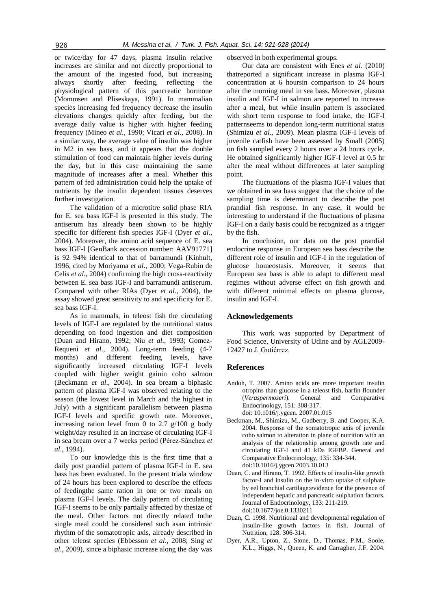or twice/day for 47 days, plasma insulin relative increases are similar and not directly proportional to the amount of the ingested food, but increasing always shortly after feeding, reflecting the physiological pattern of this pancreatic hormone (Mommsen and Pliseskaya, 1991). In mammalian species increasing fed frequency decrease the insulin elevations changes quickly after feeding, but the average daily value is higher with higher feeding frequency (Mineo *et al.*, 1990; Vicari *et al.*, 2008). In a similar way, the average value of insulin was higher in M2 in sea bass, and it appears that the double stimulation of food can maintain higher levels during the day, but in this case maintaining the same magnitude of increases after a meal. Whether this pattern of fed administration could help the uptake of nutrients by the insulin dependent tissues deserves further investigation.

The validation of a microtitre solid phase RIA for E. sea bass IGF-I is presented in this study. The antiserum has already been shown to be highly specific for different fish species IGF-I (Dyer *et al*., 2004). Moreover, the amino acid sequence of E. sea bass IGF-I [GenBank accession number: AAV91771] is 92–94% identical to that of barramundi (Kinhult, 1996, cited by Moriyama *et al*., 2000; Vega-Rubin de Celis *et al*., 2004) confirming the high cross-reactivity between E. sea bass IGF-I and barramundi antiserum. Compared with other RIAs (Dyer *et al*., 2004), the assay showed great sensitivity to and specificity for E. sea bass IGF-I.

As in mammals, in teleost fish the circulating levels of IGF-I are regulated by the nutritional status depending on food ingestion and diet composition (Duan and Hirano, 1992; Niu *et al*., 1993; Gomez-Requeni *et al*., 2004). Long-term feeding (4-7 months) and different feeding levels, have significantly increased circulating IGF-I levels coupled with higher weight gainin coho salmon (Beckmann *et al*., 2004). In sea bream a biphasic pattern of plasma IGF-I was observed relating to the season (the lowest level in March and the highest in July) with a significant parallelism between plasma IGF-I levels and specific growth rate. Moreover, increasing ration level from 0 to 2.7  $g/100$  g body weight/day resulted in an increase of circulating IGF-I in sea bream over a 7 weeks period (Pérez-Sánchez *et al*., 1994).

To our knowledge this is the first time that a daily post prandial pattern of plasma IGF-I in E. sea bass has been evaluated. In the present triala window of 24 hours has been explored to describe the effects of feedingthe same ration in one or two meals on plasma IGF-I levels. The daily pattern of circulating IGF-I seems to be only partially affected by thesize of the meal. Other factors not directly related tothe single meal could be considered such asan intrinsic rhythm of the somatotropic axis, already described in other teleost species (Ebbesson *et al*., 2008; Sing *et al*., 2009), since a biphasic increase along the day was observed in both experimental groups.

Our data are consistent with Enes *et al*. (2010) thatreported a significant increase in plasma IGF-I concentration at 6 hoursin comparison to 24 hours after the morning meal in sea bass. Moreover, plasma insulin and IGF-I in salmon are reported to increase after a meal, but while insulin pattern is associated with short term response to food intake, the IGF-I patternseems to dependon long-term nutritional status (Shimizu *et al*., 2009). Mean plasma IGF-I levels of juvenile catfish have been assessed by Small (2005) on fish sampled every 2 hours over a 24 hours cycle. He obtained significantly higher IGF-I level at 0.5 hr after the meal without differences at later sampling point.

The fluctuations of the plasma IGF-I values that we obtained in sea bass suggest that the choice of the sampling time is determinant to describe the post prandial fish response. In any case, it would be interesting to understand if the fluctuations of plasma IGF-I on a daily basis could be recognized as a trigger by the fish.

In conclusion, our data on the post prandial endocrine response in European sea bass describe the different role of insulin and IGF-I in the regulation of glucose homeostasis. Moreover, it seems that European sea bass is able to adapt to different meal regimes without adverse effect on fish growth and with different minimal effects on plasma glucose, insulin and IGF-I.

#### **Acknowledgements**

This work was supported by Department of Food Science, University of Udine and by AGL2009- 12427 to J. Gutiérrez.

### **References**

- Andoh, T. 2007. Amino acids are more important insulin otropins than glucose in a teleost fish, barfin flounder (*Veraspermoseri*). General and Comparative Endocrinology, 151: 308-317. doi: 10.1016/j.ygcen. 2007.01.015
- Beckman, M., Shimizu, M., Gadberry, B. and Cooper, K.A. 2004. Response of the somatotropic axis of juvenile coho salmon to alteration in plane of nutrition with an analysis of the relationship among growth rate and circulating IGF-I and 41 kDa IGFBP. General and Comparative Endocrinology*,* 135: 334-344. doi:10.1016/j.ygcen.2003.10.013
- Duan, C. and Hirano, T. 1992. Effects of insulin-like growth factor-I and insulin on the in-vitro uptake of sulphate by eel branchial cartilage:evidence for the presence of independent hepatic and pancreatic sulphation factors. Journal of Endocrinology, 133: 211-219. doi:10.1677/joe.0.1330211
- Duan, C. 1998. Nutritional and developmental regulation of insulin-like growth factors in fish. Journal of Nutrition, 128: 306-314.
- Dyer, A.R., Upton, Z., Stone, D., Thomas, P.M., Soole, K.L., Higgs, N., Queen, K. and Carragher, J.F. 2004.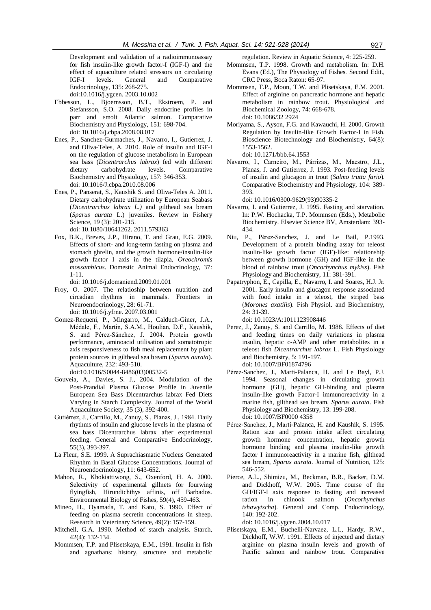Development and validation of a radioimmunoassay for fish insulin-like growth factor-I (IGF-I) and the effect of aquaculture related stressors on circulating<br>
IGF-I levels. General and Comparative levels. General and Comparative Endocrinology*,* 135: 268-275. doi:10.1016/j.ygcen. 2003.10.002

- Ebbesson, L., Bjoernsson, B.T., Ekstroem, P. and Stefansson, S.O. 2008. Daily endocrine profiles in parr and smolt Atlantic salmon. Comparative Biochemistry and Physiology, 151: 698-704. doi: 10.1016/j.cbpa.2008.08.017
- Enes, P., Sanchez-Gurmaches, J., Navarro, I., Gutierrez, J. and Oliva-Teles, A. 2010. Role of insulin and IGF-I on the regulation of glucose metabolism in European sea bass (*Dicentrarchus labrax*) fed with different dietary carbohydrate levels. Comparative Biochemistry and Physiology, 157: 346-353. doi: 10.1016/J.cbpa.2010.08.006
- Enes, P., Panserat, S., Kaushik S. and Oliva-Teles A. 2011. Dietary carbohydrate utilization by European Seabass (*Dicentrarchus labrax L.)* and gilthead sea bream (*Sparus aurata* L.) juveniles. Review in Fishery Science, 19 (3): 201-215. doi: 10.1080/10641262. 2011.579363
- Fox, B.K., Breves, J.P., Hirano, T. and Grau, E.G. 2009. Effects of short- and long-term fasting on plasma and stomach ghrelin, and the growth hormone/insulin-like growth factor I axis in the tilapia, *Oreochromis mossambicus*. Domestic Animal Endocrinology, 37: 1-11.

doi: 10.1016/j.domaniend.2009.01.001

- Froy, O. 2007. The relatioship between nutrition and circadian rhythms in mammals. Frontiers in Neuroendocrinology, 28: 61-71. doi: 10.1016/j.yfrne. 2007.03.001
- Gomez-Requeni, P., Mingarro, M., Calduch-Giner, J.A., Médale, F., Martin, S.A.M., Houlian, D.F., Kaushik, S. and Pérez-Sánchez, J. 2004. Protein growth performance, aminoacid utilisation and somatotropic axis responsiveness to fish meal replacement by plant protein sources in gilthead sea bream (*Sparus aurata*). Aquaculture, 232: 493-510. doi:10.1016/S0044-8486(03)00532-5
- Gouveia, A., Davies, S. J., 2004. Modulation of the Post‐Prandial Plasma Glucose Profile in Juvenile European Sea Bass Dicentrarchus labrax Fed Diets Varying in Starch Complexity. Journal of the World Aquaculture Society, 35 (3), 392-400.
- Gutiérrez, J., Carrillo, M., Zanuy, S., Planas, J., 1984. Daily rhythms of insulin and glucose levels in the plasma of sea bass Dicentrarchus labrax after experimental feeding. General and Comparative Endocrinology, 55(3), 393-397.
- La Fleur, S.E. 1999. A Suprachiasmatic Nucleus Generated Rhythm in Basal Glucose Concentrations. Journal of Neuroendocrinology, 11: 643-652.
- Mahon, R., Khokiattiwong, S., Oxenford, H. A. 2000. Selectivity of experimental gillnets for fourwing flyingfish, Hirundichthys affinis, off Barbados. Environmental Biology of Fishes, 59(4), 459-463.
- Mineo, H., Oyamada, T. and Kato, S. 1990. [Effect of](http://apps.webofknowledge.com/full_record.do?product=WOS&search_mode=Refine&qid=14&SID=Z192hhX8FyXoCLJkf5m&page=1&doc=1)  [feeding on plasma secretin concentrations in sheep.](http://apps.webofknowledge.com/full_record.do?product=WOS&search_mode=Refine&qid=14&SID=Z192hhX8FyXoCLJkf5m&page=1&doc=1) Research in Veterinary Science, 49(2): 157-159.
- Mitchell, G.A. 1990. Method of starch analysis. Starch, 42(4): 132-134.
- Mommsen, T.P. and Plisetskaya, E.M., 1991. Insulin in fish and agnathans: history, structure and metabolic

regulation. Review in Aquatic Science, 4: 225-259.

- Mommsen, T.P. 1998. Growth and metabolism. In: D.H. Evans (Ed.), The Physiology of Fishes*.* Second Edit., CRC Press, Boca Raton: 65-97.
- Mommsen, T.P., Moon, T.W. and Plisetskaya, E.M. 2001. Effect of arginine on pancreatic hormone and hepatic metabolism in rainbow trout. Physiological and Biochemical Zoology, 74: 668-678. doi: 10.1086/32 2924
- Moriyama, S., Ayson, F.G. and Kawauchi, H. 2000. Growth Regulation by Insulin-like Growth Factor-I in Fish. Bioscience Biotechnology and Biochemistry, 64(8): 1553-1562.

doi: 10.1271/bbb.64.1553

Navarro, I., Carneiro, M., Párrizas, M., Maestro, J.L., Planas, J. and Gutierrez, J. 1993. Post-feeding levels of insulin and glucagon in trout (*Salmo trutta fario*). Comparative Biochemistry and Physiology, 104: 389- 393.

doi: 10.1016/0300-9629(93)90335-2

- Navarro, I. and Gutierrez, J. 1995. Fasting and starvation. In: P.W. Hochacka, T.P. Mommsen (Eds.), Metabolic Biochemistry. Elsevier Science BV, Amsterdam: 393- 434.
- Niu, P., Pérez-Sanchez, J. and Le Bail, P.1993. Development of a protein binding assay for teleost insulin-like growth factor (IGF)-like: relationship between growth hormone (GH) and IGF-like in the blood of rainbow trout (*Oncorhynchus mykiss*). Fish Physiology and Biochemistry, 11: 381-391.
- Papatryphon, E., Capilla, E., Navarro, I. and Soares, H.J. Jr. 2001. Early insulin and glucagon response associated with food intake in a teleost, the striped bass (*Morones axatilis*). Fish Physiol. and Biochemistry, 24: 31-39.

doi: 10.1023/A:1011123908446

- Perez, J., Zanuy, S. and Carrillo, M. 1988. Effects of diet and feeding times on daily variations in plasma insulin, hepatic c-AMP and other metabolites in a teleost fish *Dicentrarchus labrax* L. Fish Physiology and Biochemistry, 5: 191-197. doi: 10.1007/BF01874796
- Pérez-Sanchez, J., Martí-Palanca, H. and Le Bayl, P.J. 1994. Seasonal changes in circulating growth hormone (GH), hepatic GH-binding and plasma insulin-like growth Factor-I immunoreactivity in a marine fish, gilthead sea bream, *Sparus aurata*. Fish Physiology and Biochemistry, 13: 199-208. doi: 10.1007/BF0000 4358
- Pérez-Sanchez, J., Martí-Palanca, H. and Kaushik, S. 1995. Ration size and protein intake affect circulating growth hormone concentration, hepatic growth hormone binding and plasma insulin-like growth factor I immunoreactivity in a marine fish, gilthead sea bream, *Sparus aurata*. Journal of Nutrition, 125: 546-552.
- Pierce, A.L., Shimizu, M., Beckman, B.R., Backer, D.M. and Dickhoff, W.W. 2005. Time course of the GH/IGF-I axis response to fasting and increased ration in chinook salmon (*Oncorhynchus tshawytscha*). General and Comp. Endocrinology, 140: 192-202.

doi: 10.1016/j.ygcen.2004.10.017

Plisetskaya, E.M., Buchelli-Narvaez, L.I., Hardy, R.W., Dickhoff, W.W. 1991. Effects of injected and dietary arginine on plasma insulin levels and growth of Pacific salmon and rainbow trout. Comparative